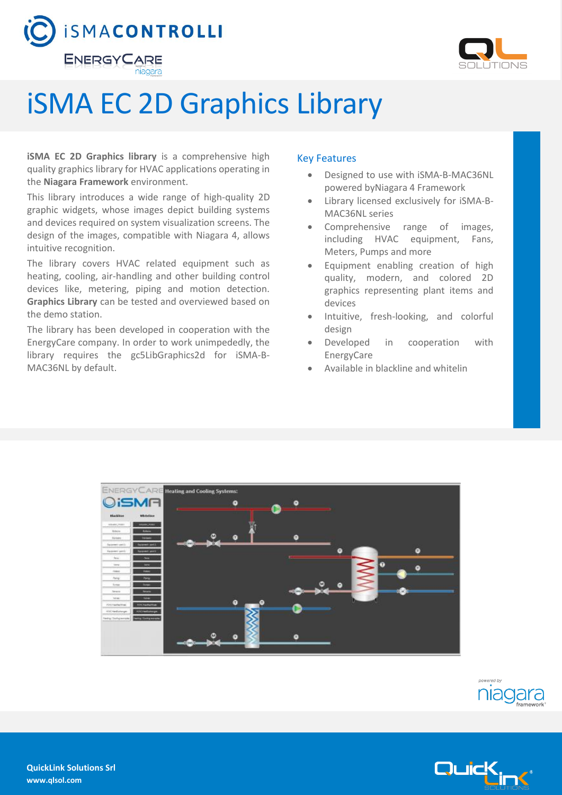



## iSMA EC 2D Graphics Library

**iSMA EC 2D Graphics library** is a comprehensive high quality graphics library for HVAC applications operating in the **Niagara Framework** environment.

This library introduces a wide range of high-quality 2D graphic widgets, whose images depict building systems and devices required on system visualization screens. The design of the images, compatible with Niagara 4, allows intuitive recognition.

The library covers HVAC related equipment such as heating, cooling, air-handling and other building control devices like, metering, piping and motion detection. **Graphics Library** can be tested and overviewed based on the demo station.

The library has been developed in cooperation with the EnergyCare company. In order to work unimpededly, the library requires the gc5LibGraphics2d for iSMA-B-MAC36NL by default.

## Key Features

- Designed to use with iSMA-B-MAC36NL powered byNiagara 4 Framework
- Library licensed exclusively for iSMA-B-MAC36NL series
- Comprehensive range of images, including HVAC equipment, Fans, Meters, Pumps and more
- Equipment enabling creation of high quality, modern, and colored 2D graphics representing plant items and devices
- Intuitive, fresh-looking, and colorful design
- Developed in cooperation with EnergyCare
- Available in blackline and whitelin